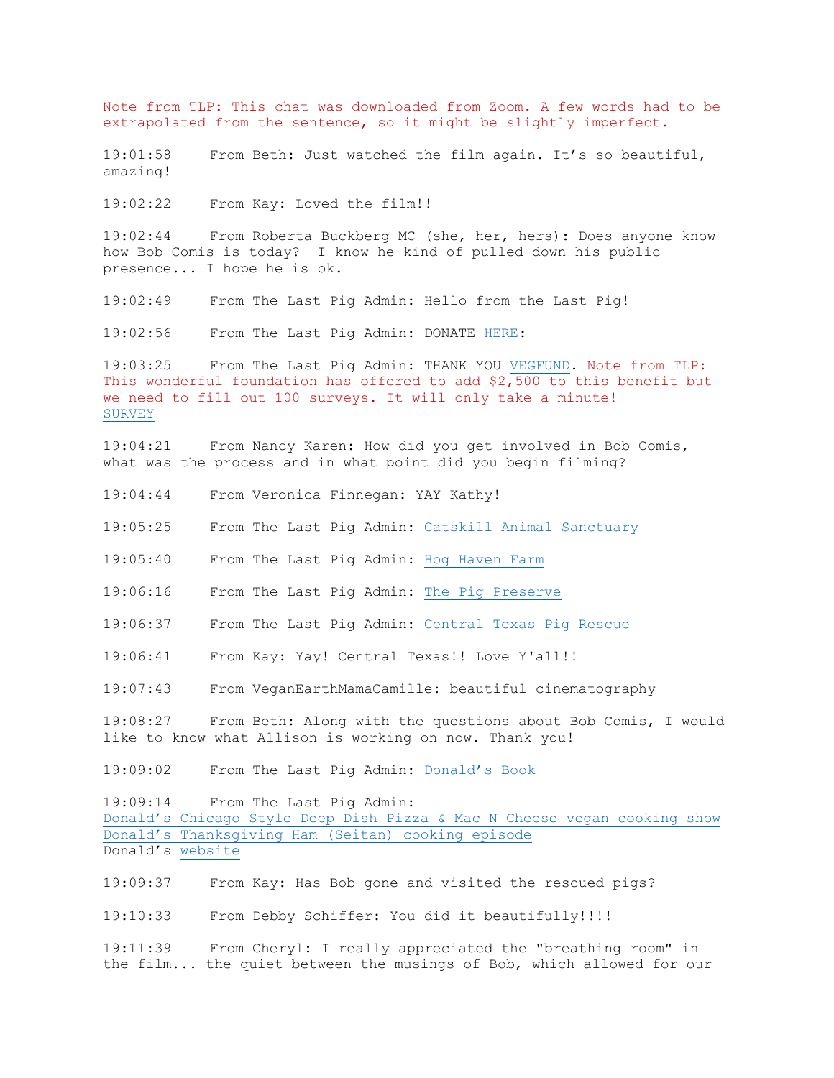Note from TLP: This chat was downloaded from Zoom. A few words had to be extrapolated from the sentence, so it might be slightly imperfect.

19:01:58 From Beth: Just watched the film again. It's so beautiful, amazing!

19:02:22 From Kay: Loved the film!!

19:02:44 From Roberta Buckberg MC (she, her, hers): Does anyone know how Bob Comis is today? I know he kind of pulled down his public presence... I hope he is ok.

19:02:49 From The Last Pig Admin: Hello from the Last Pig!

19:02:56 From The Last Pig Admin: DONATE HERE:

19:03:25 From The Last Pig Admin: THANK YOU VEGFUND. Note from TLP: This wonderful foundation has offered to add \$2,500 to this benefit but we need to fill out 100 surveys. It will only take a minute! SURVEY

19:04:21 From Nancy Karen: How did you get involved in Bob Comis, what was the process and in what point did you begin filming?

19:04:44 From Veronica Finnegan: YAY Kathy!

19:05:25 From The Last Pig Admin: Catskill Animal Sanctuary

19:05:40 From The Last Pig Admin: Hog Haven Farm

19:06:16 From The Last Pig Admin: The Pig Preserve

19:06:37 From The Last Pig Admin: Central Texas Pig Rescue

19:06:41 From Kay: Yay! Central Texas!! Love Y'all!!

19:07:43 From VeganEarthMamaCamille: beautiful cinematography

19:08:27 From Beth: Along with the questions about Bob Comis, I would like to know what Allison is working on now. Thank you!

19:09:02 From The Last Pig Admin: Donald's Book

19:09:14 From The Last Pig Admin: Donald's Chicago Style Deep Dish Pizza & Mac N Cheese vegan cooking show Donald's Thanksgiving Ham (Seitan) cooking episode Donald's website

19:09:37 From Kay: Has Bob gone and visited the rescued pigs?

19:10:33 From Debby Schiffer: You did it beautifully!!!!

19:11:39 From Cheryl: I really appreciated the "breathing room" in the film... the quiet between the musings of Bob, which allowed for our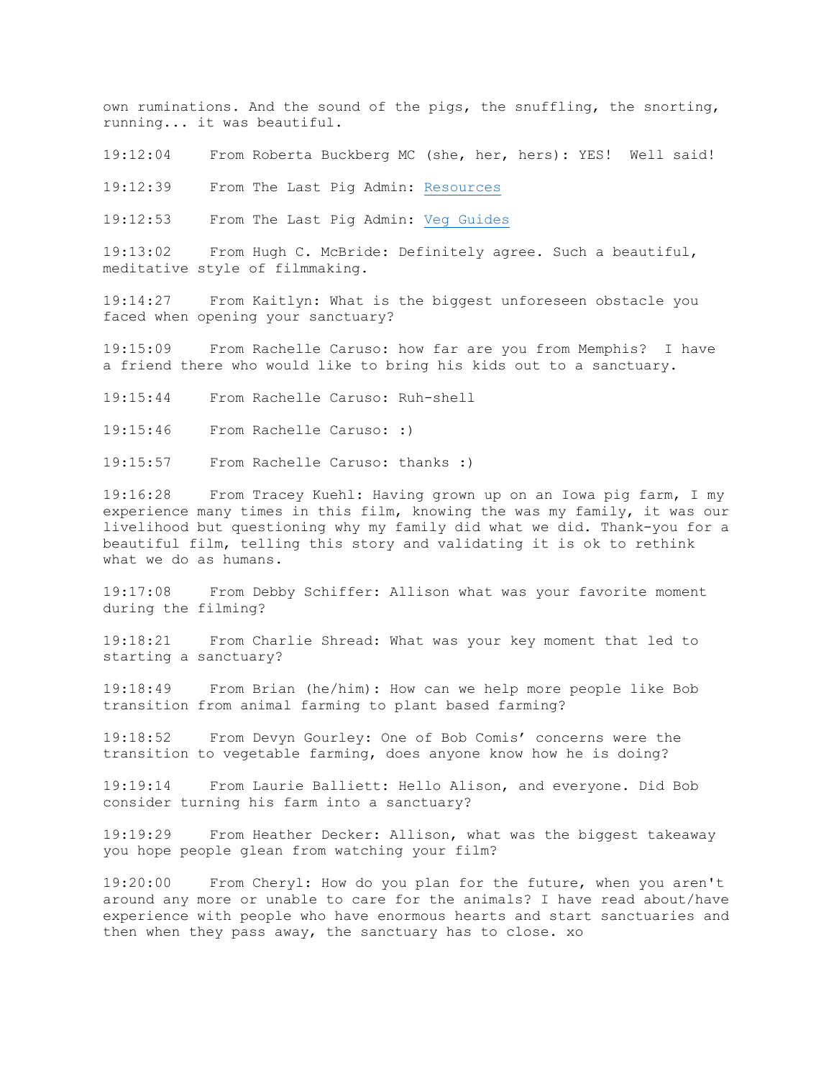own ruminations. And the sound of the pigs, the snuffling, the snorting, running... it was beautiful.

19:12:04 From Roberta Buckberg MC (she, her, hers): YES! Well said!

19:12:39 From The Last Pig Admin: Resources

19:12:53 From The Last Pig Admin: Veg Guides

19:13:02 From Hugh C. McBride: Definitely agree. Such a beautiful, meditative style of filmmaking.

19:14:27 From Kaitlyn: What is the biggest unforeseen obstacle you faced when opening your sanctuary?

19:15:09 From Rachelle Caruso: how far are you from Memphis? I have a friend there who would like to bring his kids out to a sanctuary.

19:15:44 From Rachelle Caruso: Ruh-shell

19:15:46 From Rachelle Caruso: :)

19:15:57 From Rachelle Caruso: thanks :)

19:16:28 From Tracey Kuehl: Having grown up on an Iowa pig farm, I my experience many times in this film, knowing the was my family, it was our livelihood but questioning why my family did what we did. Thank-you for a beautiful film, telling this story and validating it is ok to rethink what we do as humans.

19:17:08 From Debby Schiffer: Allison what was your favorite moment during the filming?

19:18:21 From Charlie Shread: What was your key moment that led to starting a sanctuary?

19:18:49 From Brian (he/him): How can we help more people like Bob transition from animal farming to plant based farming?

19:18:52 From Devyn Gourley: One of Bob Comis' concerns were the transition to vegetable farming, does anyone know how he is doing?

19:19:14 From Laurie Balliett: Hello Alison, and everyone. Did Bob consider turning his farm into a sanctuary?

19:19:29 From Heather Decker: Allison, what was the biggest takeaway you hope people glean from watching your film?

19:20:00 From Cheryl: How do you plan for the future, when you aren't around any more or unable to care for the animals? I have read about/have experience with people who have enormous hearts and start sanctuaries and then when they pass away, the sanctuary has to close. xo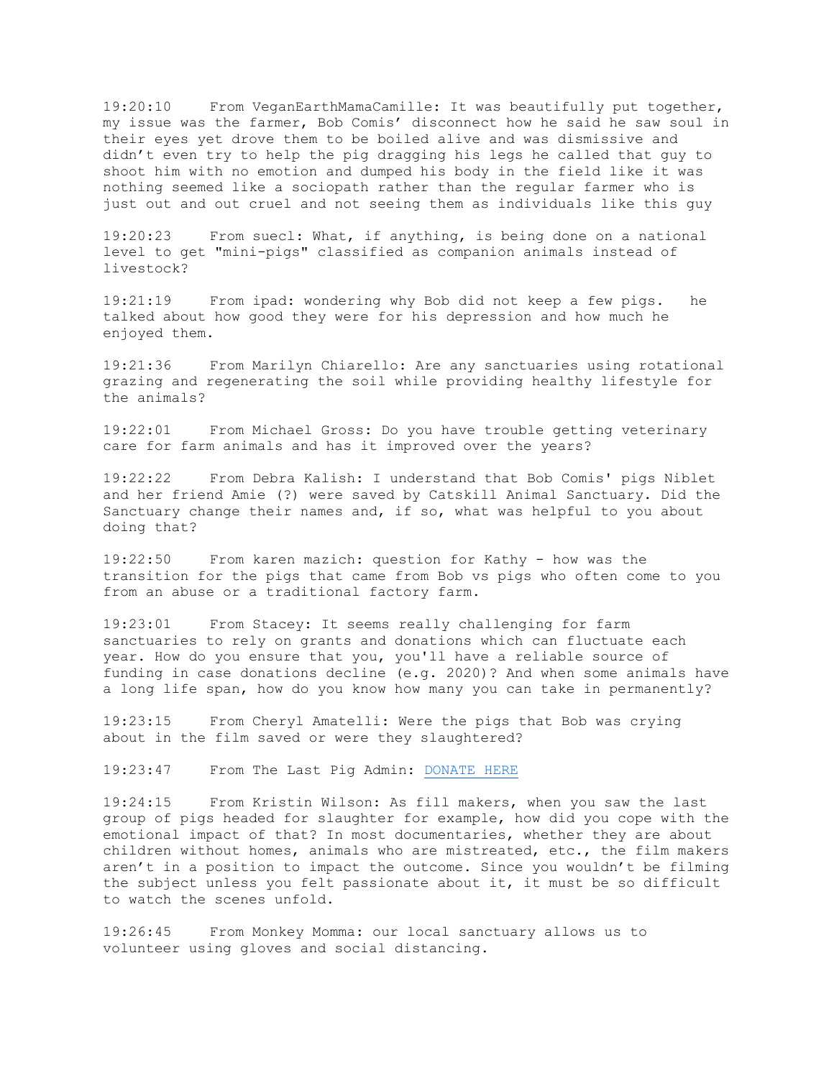19:20:10 From VeganEarthMamaCamille: It was beautifully put together, my issue was the farmer, Bob Comis' disconnect how he said he saw soul in their eyes yet drove them to be boiled alive and was dismissive and didn't even try to help the pig dragging his legs he called that guy to shoot him with no emotion and dumped his body in the field like it was nothing seemed like a sociopath rather than the regular farmer who is just out and out cruel and not seeing them as individuals like this guy

19:20:23 From suecl: What, if anything, is being done on a national level to get "mini-pigs" classified as companion animals instead of livestock?

19:21:19 From ipad: wondering why Bob did not keep a few pigs. he talked about how good they were for his depression and how much he enjoyed them.

19:21:36 From Marilyn Chiarello: Are any sanctuaries using rotational grazing and regenerating the soil while providing healthy lifestyle for the animals?

19:22:01 From Michael Gross: Do you have trouble getting veterinary care for farm animals and has it improved over the years?

19:22:22 From Debra Kalish: I understand that Bob Comis' pigs Niblet and her friend Amie (?) were saved by Catskill Animal Sanctuary. Did the Sanctuary change their names and, if so, what was helpful to you about doing that?

19:22:50 From karen mazich: question for Kathy - how was the transition for the pigs that came from Bob vs pigs who often come to you from an abuse or a traditional factory farm.

19:23:01 From Stacey: It seems really challenging for farm sanctuaries to rely on grants and donations which can fluctuate each year. How do you ensure that you, you'll have a reliable source of funding in case donations decline (e.g. 2020)? And when some animals have a long life span, how do you know how many you can take in permanently?

19:23:15 From Cheryl Amatelli: Were the pigs that Bob was crying about in the film saved or were they slaughtered?

19:23:47 From The Last Pig Admin: DONATE HERE

19:24:15 From Kristin Wilson: As fill makers, when you saw the last group of pigs headed for slaughter for example, how did you cope with the emotional impact of that? In most documentaries, whether they are about children without homes, animals who are mistreated, etc., the film makers aren't in a position to impact the outcome. Since you wouldn't be filming the subject unless you felt passionate about it, it must be so difficult to watch the scenes unfold.

19:26:45 From Monkey Momma: our local sanctuary allows us to volunteer using gloves and social distancing.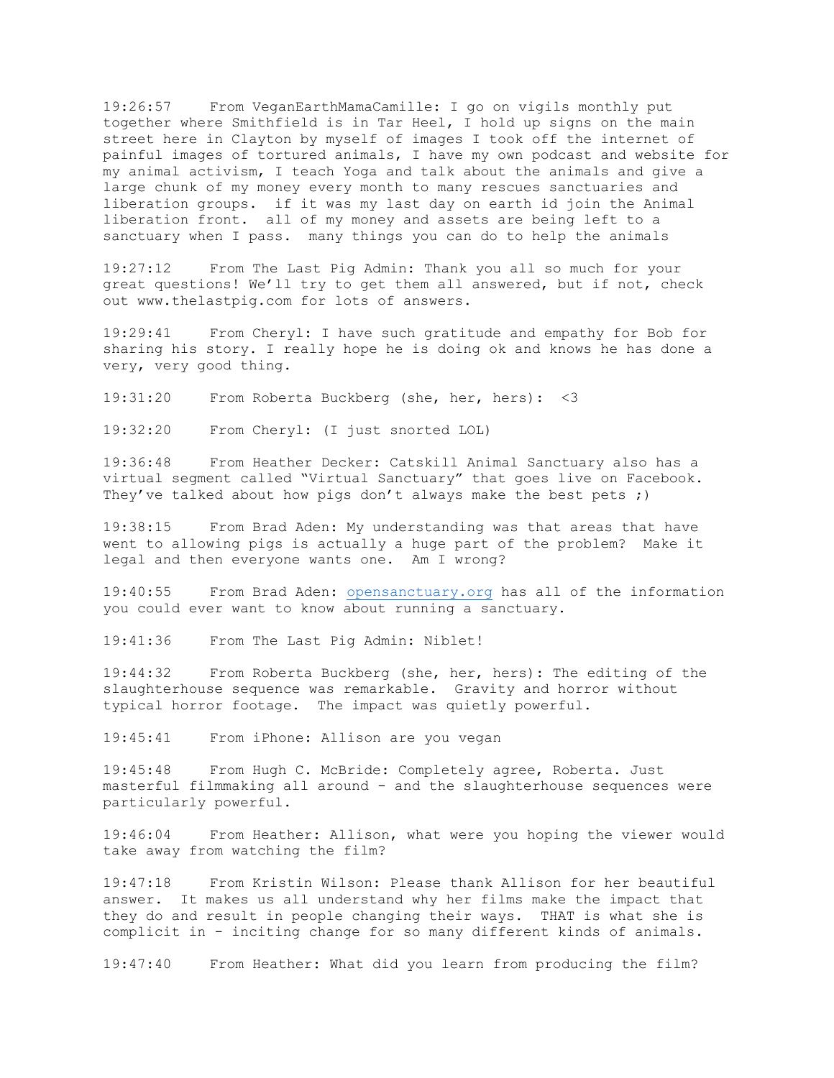19:26:57 From VeganEarthMamaCamille: I go on vigils monthly put together where Smithfield is in Tar Heel, I hold up signs on the main street here in Clayton by myself of images I took off the internet of painful images of tortured animals, I have my own podcast and website for my animal activism, I teach Yoga and talk about the animals and give a large chunk of my money every month to many rescues sanctuaries and liberation groups. if it was my last day on earth id join the Animal liberation front. all of my money and assets are being left to a sanctuary when I pass. many things you can do to help the animals

19:27:12 From The Last Pig Admin: Thank you all so much for your great questions! We'll try to get them all answered, but if not, check out www.thelastpig.com for lots of answers.

19:29:41 From Cheryl: I have such gratitude and empathy for Bob for sharing his story. I really hope he is doing ok and knows he has done a very, very good thing.

19:31:20 From Roberta Buckberg (she, her, hers): <3

19:32:20 From Cheryl: (I just snorted LOL)

19:36:48 From Heather Decker: Catskill Animal Sanctuary also has a virtual segment called "Virtual Sanctuary" that goes live on Facebook. They've talked about how pigs don't always make the best pets ;)

19:38:15 From Brad Aden: My understanding was that areas that have went to allowing pigs is actually a huge part of the problem? Make it legal and then everyone wants one. Am I wrong?

19:40:55 From Brad Aden: opensanctuary.org has all of the information you could ever want to know about running a sanctuary.

19:41:36 From The Last Pig Admin: Niblet!

19:44:32 From Roberta Buckberg (she, her, hers): The editing of the slaughterhouse sequence was remarkable. Gravity and horror without typical horror footage. The impact was quietly powerful.

19:45:41 From iPhone: Allison are you vegan

19:45:48 From Hugh C. McBride: Completely agree, Roberta. Just masterful filmmaking all around - and the slaughterhouse sequences were particularly powerful.

19:46:04 From Heather: Allison, what were you hoping the viewer would take away from watching the film?

19:47:18 From Kristin Wilson: Please thank Allison for her beautiful answer. It makes us all understand why her films make the impact that they do and result in people changing their ways. THAT is what she is complicit in - inciting change for so many different kinds of animals.

19:47:40 From Heather: What did you learn from producing the film?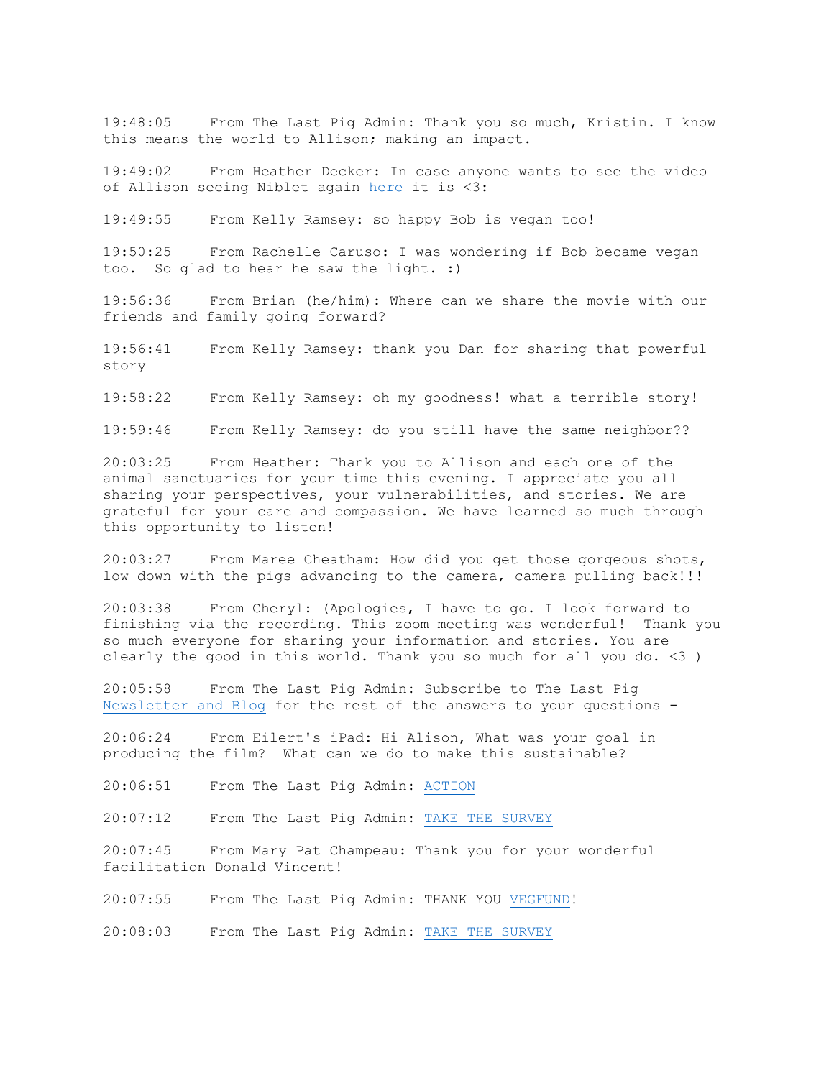19:48:05 From The Last Pig Admin: Thank you so much, Kristin. I know this means the world to Allison; making an impact.

19:49:02 From Heather Decker: In case anyone wants to see the video of Allison seeing Niblet again here it is <3:

19:49:55 From Kelly Ramsey: so happy Bob is vegan too!

19:50:25 From Rachelle Caruso: I was wondering if Bob became vegan too. So glad to hear he saw the light. :)

19:56:36 From Brian (he/him): Where can we share the movie with our friends and family going forward?

19:56:41 From Kelly Ramsey: thank you Dan for sharing that powerful story

19:58:22 From Kelly Ramsey: oh my goodness! what a terrible story!

19:59:46 From Kelly Ramsey: do you still have the same neighbor??

20:03:25 From Heather: Thank you to Allison and each one of the animal sanctuaries for your time this evening. I appreciate you all sharing your perspectives, your vulnerabilities, and stories. We are grateful for your care and compassion. We have learned so much through this opportunity to listen!

20:03:27 From Maree Cheatham: How did you get those gorgeous shots, low down with the pigs advancing to the camera, camera pulling back!!!

20:03:38 From Cheryl: (Apologies, I have to go. I look forward to finishing via the recording. This zoom meeting was wonderful! Thank you so much everyone for sharing your information and stories. You are clearly the good in this world. Thank you so much for all you do. <3 )

20:05:58 From The Last Pig Admin: Subscribe to The Last Pig Newsletter and Blog for the rest of the answers to your questions -

20:06:24 From Eilert's iPad: Hi Alison, What was your goal in producing the film? What can we do to make this sustainable?

20:06:51 From The Last Pig Admin: ACTION

20:07:12 From The Last Pig Admin: TAKE THE SURVEY

20:07:45 From Mary Pat Champeau: Thank you for your wonderful facilitation Donald Vincent!

20:07:55 From The Last Pig Admin: THANK YOU VEGFUND!

20:08:03 From The Last Pig Admin: TAKE THE SURVEY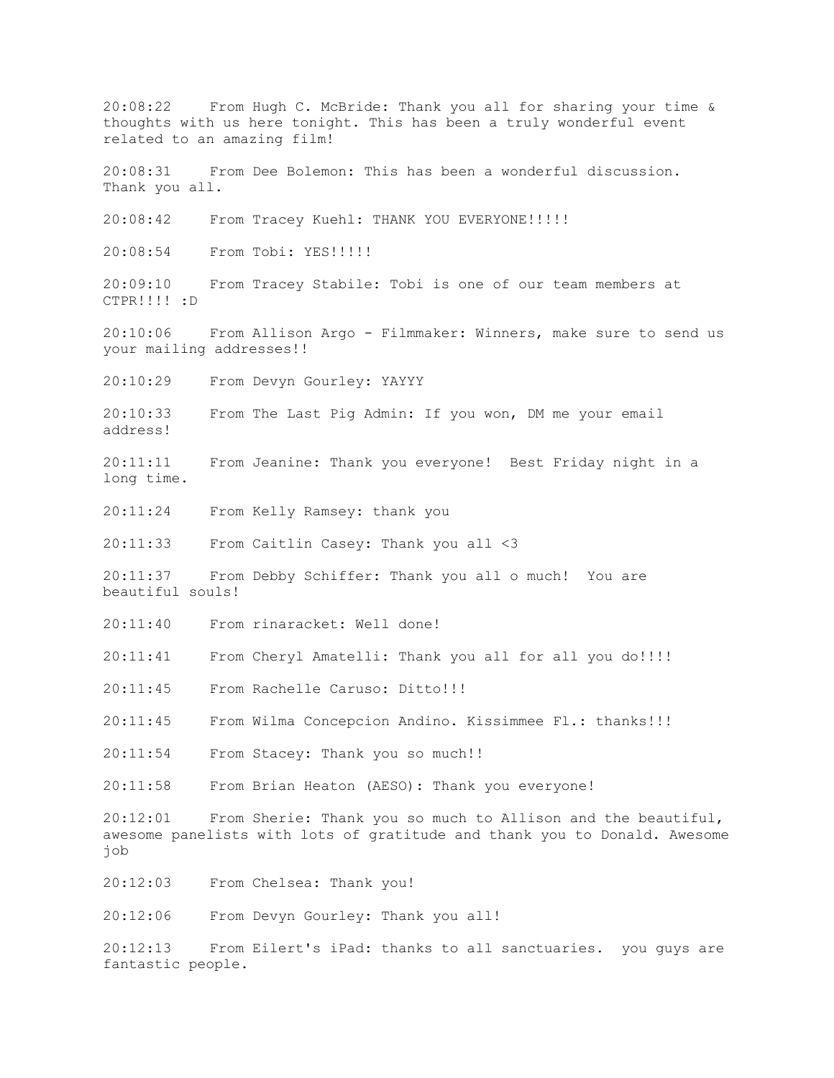20:08:22 From Hugh C. McBride: Thank you all for sharing your time & thoughts with us here tonight. This has been a truly wonderful event related to an amazing film! 20:08:31 From Dee Bolemon: This has been a wonderful discussion. Thank you all. 20:08:42 From Tracey Kuehl: THANK YOU EVERYONE!!!!! 20:08:54 From Tobi: YES!!!!! 20:09:10 From Tracey Stabile: Tobi is one of our team members at CTPR!!!! :D 20:10:06 From Allison Argo - Filmmaker: Winners, make sure to send us your mailing addresses!! 20:10:29 From Devyn Gourley: YAYYY 20:10:33 From The Last Pig Admin: If you won, DM me your email address! 20:11:11 From Jeanine: Thank you everyone! Best Friday night in a long time. 20:11:24 From Kelly Ramsey: thank you 20:11:33 From Caitlin Casey: Thank you all <3 20:11:37 From Debby Schiffer: Thank you all o much! You are beautiful souls! 20:11:40 From rinaracket: Well done! 20:11:41 From Cheryl Amatelli: Thank you all for all you do!!!! 20:11:45 From Rachelle Caruso: Ditto!!! 20:11:45 From Wilma Concepcion Andino. Kissimmee Fl.: thanks!!! 20:11:54 From Stacey: Thank you so much!! 20:11:58 From Brian Heaton (AESO): Thank you everyone! 20:12:01 From Sherie: Thank you so much to Allison and the beautiful, awesome panelists with lots of gratitude and thank you to Donald. Awesome job 20:12:03 From Chelsea: Thank you! 20:12:06 From Devyn Gourley: Thank you all! 20:12:13 From Eilert's iPad: thanks to all sanctuaries. you guys are fantastic people.